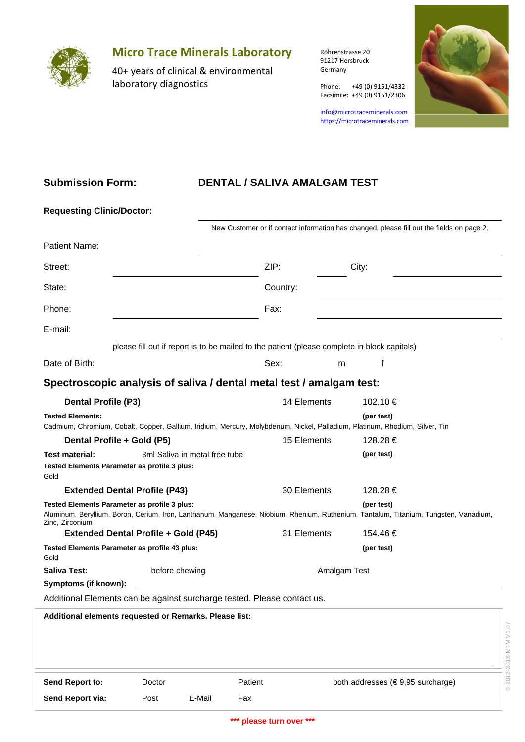

# **Micro Trace Minerals Laboratory**

40+ years of clinical & environmental laboratory diagnostics

Röhrenstrasse 20 91217 Hersbruck Germany

Phone: +49 (0) 9151/4332

info@microtraceminerals.com <https://microtraceminerals.com>

Facsimile: +49 (0) 9151/2306



### **Submission Form:**

## **DENTAL / SALIVA AMALGAM TEST**

| <b>Requesting Clinic/Doctor:</b>                                                                                            |                               |                |                                                                                              |                                                                                                                                      |              |                       |  |  |  |  |  |
|-----------------------------------------------------------------------------------------------------------------------------|-------------------------------|----------------|----------------------------------------------------------------------------------------------|--------------------------------------------------------------------------------------------------------------------------------------|--------------|-----------------------|--|--|--|--|--|
|                                                                                                                             |                               |                |                                                                                              | New Customer or if contact information has changed, please fill out the fields on page 2.                                            |              |                       |  |  |  |  |  |
| Patient Name:                                                                                                               |                               |                |                                                                                              |                                                                                                                                      |              |                       |  |  |  |  |  |
| Street:                                                                                                                     |                               |                |                                                                                              |                                                                                                                                      | City:        |                       |  |  |  |  |  |
| State:                                                                                                                      |                               |                | Country:                                                                                     |                                                                                                                                      |              |                       |  |  |  |  |  |
| Phone:                                                                                                                      |                               |                | Fax:                                                                                         |                                                                                                                                      |              |                       |  |  |  |  |  |
| E-mail:                                                                                                                     |                               |                |                                                                                              |                                                                                                                                      |              |                       |  |  |  |  |  |
|                                                                                                                             |                               |                | please fill out if report is to be mailed to the patient (please complete in block capitals) |                                                                                                                                      |              |                       |  |  |  |  |  |
| Date of Birth:                                                                                                              |                               |                | Sex:                                                                                         |                                                                                                                                      | f<br>m       |                       |  |  |  |  |  |
| Spectroscopic analysis of saliva / dental metal test / amalgam test:                                                        |                               |                |                                                                                              |                                                                                                                                      |              |                       |  |  |  |  |  |
| <b>Dental Profile (P3)</b>                                                                                                  |                               |                |                                                                                              | 14 Elements                                                                                                                          |              | 102.10€               |  |  |  |  |  |
| <b>Tested Elements:</b>                                                                                                     |                               |                |                                                                                              |                                                                                                                                      | (per test)   |                       |  |  |  |  |  |
| Cadmium, Chromium, Cobalt, Copper, Gallium, Iridium, Mercury, Molybdenum, Nickel, Palladium, Platinum, Rhodium, Silver, Tin |                               |                |                                                                                              |                                                                                                                                      |              |                       |  |  |  |  |  |
|                                                                                                                             | Dental Profile + Gold (P5)    |                |                                                                                              |                                                                                                                                      | 128.28 €     |                       |  |  |  |  |  |
| <b>Test material:</b>                                                                                                       | 3ml Saliva in metal free tube |                |                                                                                              |                                                                                                                                      | (per test)   |                       |  |  |  |  |  |
| Tested Elements Parameter as profile 3 plus:<br>Gold                                                                        |                               |                |                                                                                              |                                                                                                                                      |              |                       |  |  |  |  |  |
| <b>Extended Dental Profile (P43)</b>                                                                                        |                               | 30 Elements    | 128.28€                                                                                      |                                                                                                                                      |              |                       |  |  |  |  |  |
| Tested Elements Parameter as profile 3 plus:<br>Zinc, Zirconium                                                             |                               |                | (per test)                                                                                   | Aluminum, Beryllium, Boron, Cerium, Iron, Lanthanum, Manganese, Niobium, Rhenium, Ruthenium, Tantalum, Titanium, Tungsten, Vanadium, |              |                       |  |  |  |  |  |
| <b>Extended Dental Profile + Gold (P45)</b>                                                                                 |                               |                |                                                                                              | 31 Elements                                                                                                                          | 154.46 €     |                       |  |  |  |  |  |
| Tested Elements Parameter as profile 43 plus:<br>Gold                                                                       |                               |                | (per test)                                                                                   |                                                                                                                                      |              |                       |  |  |  |  |  |
| <b>Saliva Test:</b>                                                                                                         |                               | before chewing |                                                                                              |                                                                                                                                      | Amalgam Test |                       |  |  |  |  |  |
| Symptoms (if known):                                                                                                        |                               |                |                                                                                              |                                                                                                                                      |              |                       |  |  |  |  |  |
| Additional Elements can be against surcharge tested. Please contact us.                                                     |                               |                |                                                                                              |                                                                                                                                      |              |                       |  |  |  |  |  |
| Additional elements requested or Remarks. Please list:                                                                      |                               |                |                                                                                              |                                                                                                                                      |              |                       |  |  |  |  |  |
|                                                                                                                             |                               |                |                                                                                              |                                                                                                                                      |              | © 2012-2018 MTM V1.07 |  |  |  |  |  |
| Send Report to:                                                                                                             | Doctor                        | Patient        |                                                                                              | both addresses (€9,95 surcharge)                                                                                                     |              |                       |  |  |  |  |  |
| Send Report via:                                                                                                            | Post                          | E-Mail         | Fax                                                                                          |                                                                                                                                      |              |                       |  |  |  |  |  |